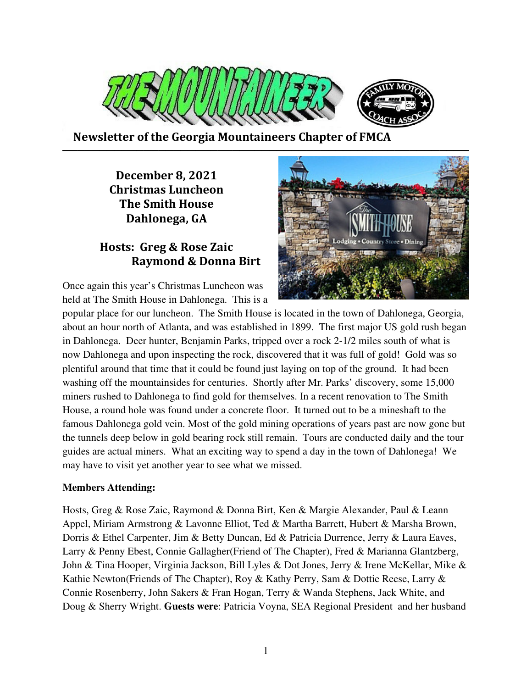

 **Newsletter of the Georgia Mountaineers Chapter of FMCA** 

# **December 8, 2021 Christmas Luncheon The Smith House Dahlonega, GA**

# **Hosts: Greg & Rose Zaic Raymond & Donna Birt**

Once again this year's Christmas Luncheon was held at The Smith House in Dahlonega. This is a



popular place for our luncheon. The Smith House is located in the town of Dahlonega, Georgia, about an hour north of Atlanta, and was established in 1899. The first major US gold rush began in Dahlonega. Deer hunter, Benjamin Parks, tripped over a rock 2-1/2 miles south of what is now Dahlonega and upon inspecting the rock, discovered that it was full of gold! Gold was so plentiful around that time that it could be found just laying on top of the ground. It had been washing off the mountainsides for centuries. Shortly after Mr. Parks' discovery, some 15,000 miners rushed to Dahlonega to find gold for themselves. In a recent renovation to The Smith House, a round hole was found under a concrete floor. It turned out to be a mineshaft to the famous Dahlonega gold vein. Most of the gold mining operations of years past are now gone but the tunnels deep below in gold bearing rock still remain. Tours are conducted daily and the tour guides are actual miners. What an exciting way to spend a day in the town of Dahlonega! We may have to visit yet another year to see what we missed.

### **Members Attending:**

Hosts, Greg & Rose Zaic, Raymond & Donna Birt, Ken & Margie Alexander, Paul & Leann Appel, Miriam Armstrong & Lavonne Elliot, Ted & Martha Barrett, Hubert & Marsha Brown, Dorris & Ethel Carpenter, Jim & Betty Duncan, Ed & Patricia Durrence, Jerry & Laura Eaves, Larry & Penny Ebest, Connie Gallagher(Friend of The Chapter), Fred & Marianna Glantzberg, John & Tina Hooper, Virginia Jackson, Bill Lyles & Dot Jones, Jerry & Irene McKellar, Mike & Kathie Newton(Friends of The Chapter), Roy & Kathy Perry, Sam & Dottie Reese, Larry & Connie Rosenberry, John Sakers & Fran Hogan, Terry & Wanda Stephens, Jack White, and Doug & Sherry Wright. **Guests were**: Patricia Voyna, SEA Regional President and her husband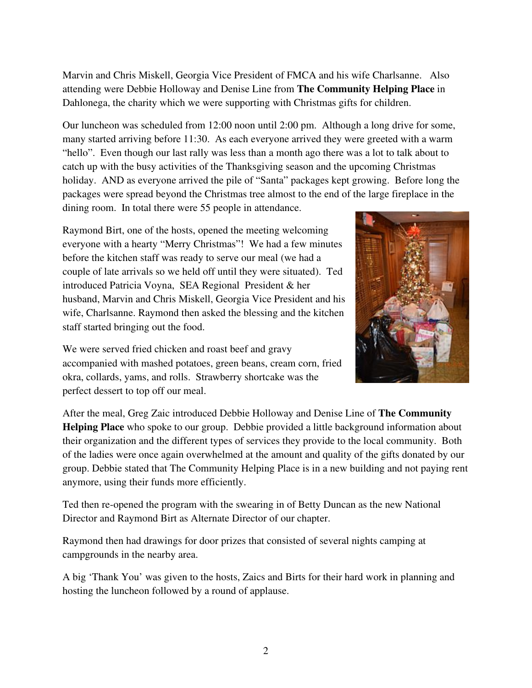Marvin and Chris Miskell, Georgia Vice President of FMCA and his wife Charlsanne. Also attending were Debbie Holloway and Denise Line from **The Community Helping Place** in Dahlonega, the charity which we were supporting with Christmas gifts for children.

Our luncheon was scheduled from 12:00 noon until 2:00 pm. Although a long drive for some, many started arriving before 11:30. As each everyone arrived they were greeted with a warm "hello". Even though our last rally was less than a month ago there was a lot to talk about to catch up with the busy activities of the Thanksgiving season and the upcoming Christmas holiday. AND as everyone arrived the pile of "Santa" packages kept growing. Before long the packages were spread beyond the Christmas tree almost to the end of the large fireplace in the dining room. In total there were 55 people in attendance.

Raymond Birt, one of the hosts, opened the meeting welcoming everyone with a hearty "Merry Christmas"! We had a few minutes before the kitchen staff was ready to serve our meal (we had a couple of late arrivals so we held off until they were situated). Ted introduced Patricia Voyna, SEA Regional President & her husband, Marvin and Chris Miskell, Georgia Vice President and his wife, Charlsanne. Raymond then asked the blessing and the kitchen staff started bringing out the food.

We were served fried chicken and roast beef and gravy accompanied with mashed potatoes, green beans, cream corn, fried okra, collards, yams, and rolls. Strawberry shortcake was the perfect dessert to top off our meal.



After the meal, Greg Zaic introduced Debbie Holloway and Denise Line of **The Community Helping Place** who spoke to our group. Debbie provided a little background information about their organization and the different types of services they provide to the local community. Both of the ladies were once again overwhelmed at the amount and quality of the gifts donated by our group. Debbie stated that The Community Helping Place is in a new building and not paying rent anymore, using their funds more efficiently.

Ted then re-opened the program with the swearing in of Betty Duncan as the new National Director and Raymond Birt as Alternate Director of our chapter.

Raymond then had drawings for door prizes that consisted of several nights camping at campgrounds in the nearby area.

A big 'Thank You' was given to the hosts, Zaics and Birts for their hard work in planning and hosting the luncheon followed by a round of applause.